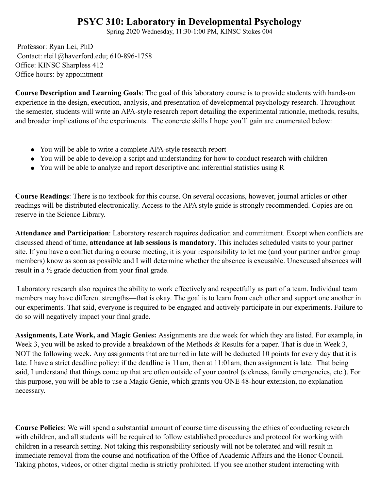## **PSYC 310: Laboratory in Developmental Psychology**

Spring 2020 Wednesday, 11:30-1:00 PM, KINSC Stokes 004

Professor: Ryan Lei, PhD Contact: rlei1@haverford.edu; 610-896-1758 Office: KINSC Sharpless 412 Office hours: by appointment

**Course Description and Learning Goals**: The goal of this laboratory course is to provide students with hands-on experience in the design, execution, analysis, and presentation of developmental psychology research. Throughout the semester, students will write an APA-style research report detailing the experimental rationale, methods, results, and broader implications of the experiments. The concrete skills I hope you'll gain are enumerated below:

- You will be able to write a complete APA-style research report
- You will be able to develop a script and understanding for how to conduct research with children
- You will be able to analyze and report descriptive and inferential statistics using R

**Course Readings**: There is no textbook for this course. On several occasions, however, journal articles or other readings will be distributed electronically. Access to the APA style guide is strongly recommended. Copies are on reserve in the Science Library.

**Attendance and Participation**: Laboratory research requires dedication and commitment. Except when conflicts are discussed ahead of time, **attendance at lab sessions is mandatory**. This includes scheduled visits to your partner site. If you have a conflict during a course meeting, it is your responsibility to let me (and your partner and/or group members) know as soon as possible and I will determine whether the absence is excusable. Unexcused absences will result in a ½ grade deduction from your final grade.

Laboratory research also requires the ability to work effectively and respectfully as part of a team. Individual team members may have different strengths—that is okay. The goal is to learn from each other and support one another in our experiments. That said, everyone is required to be engaged and actively participate in our experiments. Failure to do so will negatively impact your final grade.

**Assignments, Late Work, and Magic Genies:** Assignments are due week for which they are listed. For example, in Week 3, you will be asked to provide a breakdown of the Methods & Results for a paper. That is due in Week 3, NOT the following week. Any assignments that are turned in late will be deducted 10 points for every day that it is late. I have a strict deadline policy: if the deadline is 11am, then at 11:01am, then assignment is late. That being said, I understand that things come up that are often outside of your control (sickness, family emergencies, etc.). For this purpose, you will be able to use a Magic Genie, which grants you ONE 48-hour extension, no explanation necessary.

**Course Policies**: We will spend a substantial amount of course time discussing the ethics of conducting research with children, and all students will be required to follow established procedures and protocol for working with children in a research setting. Not taking this responsibility seriously will not be tolerated and will result in immediate removal from the course and notification of the Office of Academic Affairs and the Honor Council. Taking photos, videos, or other digital media is strictly prohibited. If you see another student interacting with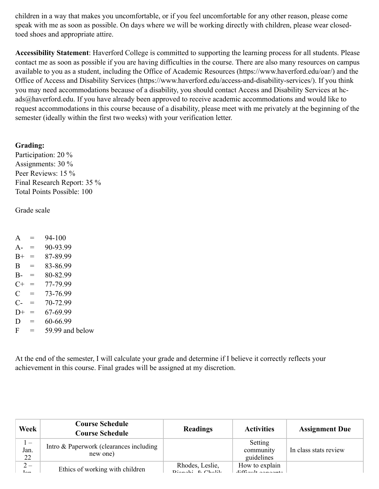children in a way that makes you uncomfortable, or if you feel uncomfortable for any other reason, please come speak with me as soon as possible. On days where we will be working directly with children, please wear closedtoed shoes and appropriate attire.

**Accessibility Statement**: Haverford College is committed to supporting the learning process for all students. Please contact me as soon as possible if you are having difficulties in the course. There are also many resources on campus available to you as a student, including the Office of Academic Resources (https://www.haverford.edu/oar/) and the Office of Access and Disability Services (https://www.haverford.edu/access-and-disability-services/). If you think you may need accommodations because of a disability, you should contact Access and Disability Services at hcads@haverford.edu. If you have already been approved to receive academic accommodations and would like to request accommodations in this course because of a disability, please meet with me privately at the beginning of the semester (ideally within the first two weeks) with your verification letter.

## **Grading:**

Participation: 20 % Assignments: 30 % Peer Reviews: 15 % Final Research Report: 35 % Total Points Possible: 100

Grade scale

 $A = 94-100$  $A- = 90-93.99$  $B+ = 87-89.99$  $B = 83-86.99$  $B = 80-82.99$  $C+ = 77-79.99$  $C = 73-76.99$  $C = 70-72.99$  $D+ = 67-69.99$  $D = 60-66.99$  $F = 59.99$  and below

At the end of the semester, I will calculate your grade and determine if I believe it correctly reflects your achievement in this course. Final grades will be assigned at my discretion.

| Week                              | <b>Course Schedule</b><br><b>Course Schedule</b>    | <b>Readings</b>                           | <b>Activities</b>                      | <b>Assignment Due</b> |
|-----------------------------------|-----------------------------------------------------|-------------------------------------------|----------------------------------------|-----------------------|
| $1 -$<br>Jan.<br>22               | Intro & Paperwork (clearances including<br>new one) |                                           | Setting<br>community<br>guidelines     | In class stats review |
| $2-$<br>$\mathbf{L}_{\mathbf{L}}$ | Ethics of working with children                     | Rhodes, Leslie,<br>$D$ ionabi $R$ Chalile | How to explain<br>$diff$ oult concents |                       |